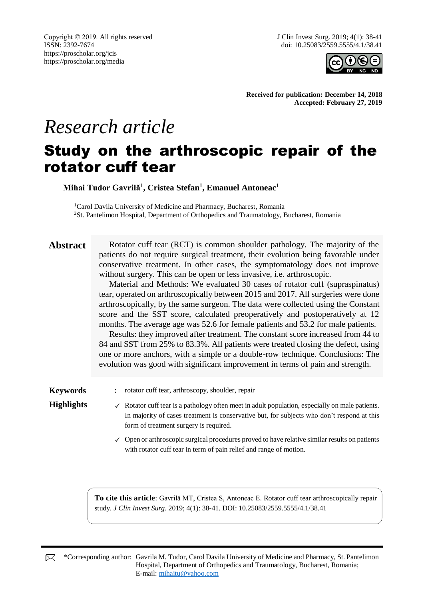

**Received for publication: December 14, 2018 Accepted: February 27, 2019**

# *Research article*

## Study on the arthroscopic repair of the rotator cuff tear

**Mihai Tudor Gavrilă<sup>1</sup> , Cristea Stefan<sup>1</sup> , Emanuel Antoneac<sup>1</sup>**

<sup>1</sup>Carol Davila University of Medicine and Pharmacy, Bucharest, Romania <sup>2</sup>St. Pantelimon Hospital, Department of Orthopedics and Traumatology, Bucharest, Romania

**Abstract** Rotator cuff tear (RCT) is common shoulder pathology. The majority of the patients do not require surgical treatment, their evolution being favorable under conservative treatment. In other cases, the symptomatology does not improve without surgery. This can be open or less invasive, i.e. arthroscopic.

> Material and Methods: We evaluated 30 cases of rotator cuff (supraspinatus) tear, operated on arthroscopically between 2015 and 2017. All surgeries were done arthroscopically, by the same surgeon. The data were collected using the Constant score and the SST score, calculated preoperatively and postoperatively at 12 months. The average age was 52.6 for female patients and 53.2 for male patients.

> Results: they improved after treatment. The constant score increased from 44 to 84 and SST from 25% to 83.3%. All patients were treated closing the defect, using one or more anchors, with a simple or a double-row technique. Conclusions: The evolution was good with significant improvement in terms of pain and strength.

**Keywords** : rotator cuff tear, arthroscopy, shoulder, repair

- **Highlights**  $\checkmark$  Rotator cuff tear is a pathology often meet in adult population, especially on male patients. In majority of cases treatment is conservative but, for subjects who don't respond at this form of treatment surgery is required.
	- $\checkmark$  Open or arthroscopic surgical procedures proved to have relative similar results on patients with rotator cuff tear in term of pain relief and range of motion.

**To cite this article**: Gavrilă MT, Cristea S, Antoneac E. Rotator cuff tear arthroscopically repair study. *J Clin Invest Surg*. 2019; 4(1): 38-41. DOI: 10.25083/2559.5555/4.1/38.41

\*Corresponding author: Gavrila M. Tudor, Carol Davila University of Medicine and Pharmacy, St. Pantelimon ⊠ Hospital, Department of Orthopedics and Traumatology, Bucharest, Romania; E-mail: [mihaitu@yahoo.com](mailto:mihaitu@yahoo.com)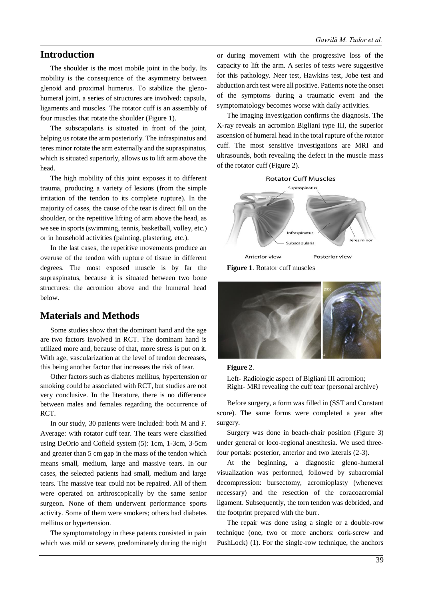#### **Introduction**

The shoulder is the most mobile joint in the body. Its mobility is the consequence of the asymmetry between glenoid and proximal humerus. To stabilize the glenohumeral joint, a series of structures are involved: capsula, ligaments and muscles. The rotator cuff is an assembly of four muscles that rotate the shoulder (Figure 1).

The subscapularis is situated in front of the joint, helping us rotate the arm posteriorly. The infraspinatus and teres minor rotate the arm externally and the supraspinatus, which is situated superiorly, allows us to lift arm above the head.

The high mobility of this joint exposes it to different trauma, producing a variety of lesions (from the simple irritation of the tendon to its complete rupture). In the majority of cases, the cause of the tear is direct fall on the shoulder, or the repetitive lifting of arm above the head, as we see in sports (swimming, tennis, basketball, volley, etc.) or in household activities (painting, plastering, etc.).

In the last cases, the repetitive movements produce an overuse of the tendon with rupture of tissue in different degrees. The most exposed muscle is by far the supraspinatus, because it is situated between two bone structures: the acromion above and the humeral head below.

#### **Materials and Methods**

Some studies show that the dominant hand and the age are two factors involved in RCT. The dominant hand is utilized more and, because of that, more stress is put on it. With age, vascularization at the level of tendon decreases, this being another factor that increases the risk of tear.

Other factors such as diabetes mellitus, hypertension or smoking could be associated with RCT, but studies are not very conclusive. In the literature, there is no difference between males and females regarding the occurrence of RCT.

In our study, 30 patients were included: both M and F. Average: with rotator cuff tear. The tears were classified using DeOrio and Cofield system (5): 1cm, 1-3cm, 3-5cm and greater than 5 cm gap in the mass of the tendon which means small, medium, large and massive tears. In our cases, the selected patients had small, medium and large tears. The massive tear could not be repaired. All of them were operated on arthroscopically by the same senior surgeon. None of them underwent performance sports activity. Some of them were smokers; others had diabetes mellitus or hypertension.

The symptomatology in these patents consisted in pain which was mild or severe, predominately during the night or during movement with the progressive loss of the capacity to lift the arm. A series of tests were suggestive for this pathology. Neer test, Hawkins test, Jobe test and abduction arch test were all positive. Patients note the onset of the symptoms during a traumatic event and the symptomatology becomes worse with daily activities.

The imaging investigation confirms the diagnosis. The X-ray reveals an acromion Bigliani type III, the superior ascension of humeral head in the total rupture of the rotator cuff. The most sensitive investigations are MRI and ultrasounds, both revealing the defect in the muscle mass of the rotator cuff (Figure 2).



**Figure 1**. Rotator cuff muscles



#### **Figure 2**.

Left- Radiologic aspect of Bigliani III acromion; Right- MRI revealing the cuff tear (personal archive)

Before surgery, a form was filled in (SST and Constant score). The same forms were completed a year after surgery.

Surgery was done in beach-chair position (Figure 3) under general or loco-regional anesthesia. We used threefour portals: posterior, anterior and two laterals (2-3).

At the beginning, a diagnostic gleno-humeral visualization was performed, followed by subacromial decompression: bursectomy, acromioplasty (whenever necessary) and the resection of the coracoacromial ligament. Subsequently, the torn tendon was debrided, and the footprint prepared with the burr.

The repair was done using a single or a double-row technique (one, two or more anchors: cork-screw and PushLock) (1). For the single-row technique, the anchors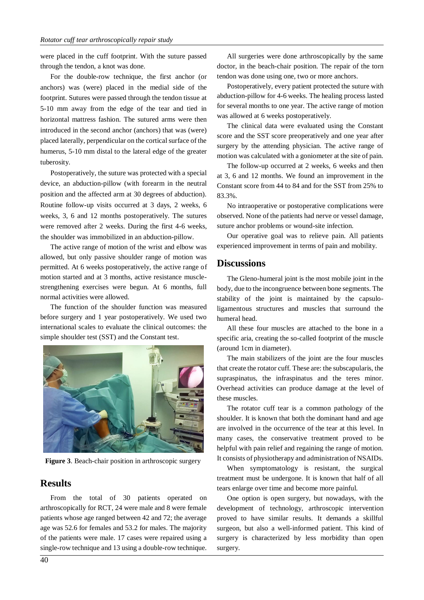were placed in the cuff footprint. With the suture passed through the tendon, a knot was done.

For the double-row technique, the first anchor (or anchors) was (were) placed in the medial side of the footprint. Sutures were passed through the tendon tissue at 5-10 mm away from the edge of the tear and tied in horizontal mattress fashion. The sutured arms were then introduced in the second anchor (anchors) that was (were) placed laterally, perpendicular on the cortical surface of the humerus, 5-10 mm distal to the lateral edge of the greater tuberosity.

Postoperatively, the suture was protected with a special device, an abduction-pillow (with forearm in the neutral position and the affected arm at 30 degrees of abduction). Routine follow-up visits occurred at 3 days, 2 weeks, 6 weeks, 3, 6 and 12 months postoperatively. The sutures were removed after 2 weeks. During the first 4-6 weeks, the shoulder was immobilized in an abduction-pillow.

The active range of motion of the wrist and elbow was allowed, but only passive shoulder range of motion was permitted. At 6 weeks postoperatively, the active range of motion started and at 3 months, active resistance musclestrengthening exercises were begun. At 6 months, full normal activities were allowed.

The function of the shoulder function was measured before surgery and 1 year postoperatively. We used two international scales to evaluate the clinical outcomes: the simple shoulder test (SST) and the Constant test.



**Figure 3**. Beach-chair position in arthroscopic surgery

#### **Results**

From the total of 30 patients operated on arthroscopically for RCT, 24 were male and 8 were female patients whose age ranged between 42 and 72; the average age was 52.6 for females and 53.2 for males. The majority of the patients were male. 17 cases were repaired using a single-row technique and 13 using a double-row technique.

All surgeries were done arthroscopically by the same doctor, in the beach-chair position. The repair of the torn tendon was done using one, two or more anchors.

Postoperatively, every patient protected the suture with abduction-pillow for 4-6 weeks. The healing process lasted for several months to one year. The active range of motion was allowed at 6 weeks postoperatively.

The clinical data were evaluated using the Constant score and the SST score preoperatively and one year after surgery by the attending physician. The active range of motion was calculated with a goniometer at the site of pain.

The follow-up occurred at 2 weeks, 6 weeks and then at 3, 6 and 12 months. We found an improvement in the Constant score from 44 to 84 and for the SST from 25% to 83.3%.

No intraoperative or postoperative complications were observed. None of the patients had nerve or vessel damage, suture anchor problems or wound-site infection.

Our operative goal was to relieve pain. All patients experienced improvement in terms of pain and mobility.

#### **Discussions**

The Gleno-humeral joint is the most mobile joint in the body, due to the incongruence between bone segments. The stability of the joint is maintained by the capsuloligamentous structures and muscles that surround the humeral head.

All these four muscles are attached to the bone in a specific aria, creating the so-called footprint of the muscle (around 1cm in diameter).

The main stabilizers of the joint are the four muscles that create the rotator cuff. These are: the subscapularis, the supraspinatus, the infraspinatus and the teres minor. Overhead activities can produce damage at the level of these muscles.

The rotator cuff tear is a common pathology of the shoulder. It is known that both the dominant hand and age are involved in the occurrence of the tear at this level. In many cases, the conservative treatment proved to be helpful with pain relief and regaining the range of motion. It consists of physiotherapy and administration of NSAIDs.

When symptomatology is resistant, the surgical treatment must be undergone. It is known that half of all tears enlarge over time and become more painful.

One option is open surgery, but nowadays, with the development of technology, arthroscopic intervention proved to have similar results. It demands a skillful surgeon, but also a well-informed patient. This kind of surgery is characterized by less morbidity than open surgery.